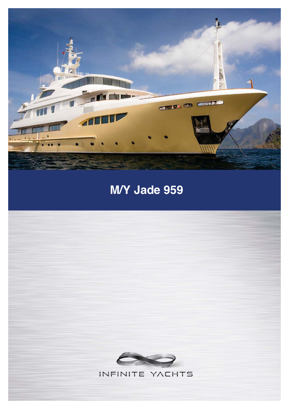

## **M/Y Jade 959**

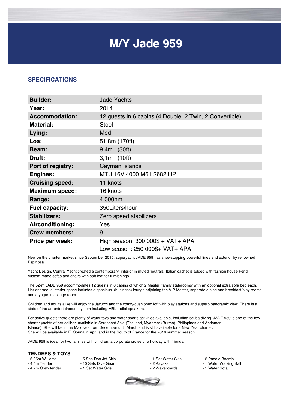### **M/Y Jade 959**

#### **SPECIFICATIONS**

| <b>Builder:</b>        | <b>Jade Yachts</b>                                                     |
|------------------------|------------------------------------------------------------------------|
| Year:                  | 2014                                                                   |
| <b>Accommodation:</b>  | 12 guests in 6 cabins (4 Double, 2 Twin, 2 Convertible)                |
| <b>Material:</b>       | <b>Steel</b>                                                           |
| Lying:                 | Med                                                                    |
| Loa:                   | 51.8m (170ft)                                                          |
| Beam:                  | 9,4m (30ft)                                                            |
| Draft:                 | $3,1m$ (10ft)                                                          |
| Port of registry:      | Cayman Islands                                                         |
| <b>Engines:</b>        | MTU 16V 4000 M61 2682 HP                                               |
| <b>Cruising speed:</b> | 11 knots                                                               |
| <b>Maximum speed:</b>  | 16 knots                                                               |
| Range:                 | 4 000nm                                                                |
| <b>Fuel capacity:</b>  | 350Liters/hour                                                         |
| <b>Stabilizers:</b>    | Zero speed stabilizers                                                 |
| Airconditioning:       | Yes                                                                    |
| <b>Crew members:</b>   | 9                                                                      |
| Price per week:        | High season: $300\,000\$ + VAT+ APA<br>Low season: 250 000\$+ VAT+ APA |

New on the charter market since September 2015, superyacht JADE 959 has showstopping powerful lines and exterior by renowned Espinosa

Yacht Design. Central Yacht created a contemporary interior in muted neutrals. Italian cachet is added with fashion house Fendi custom-made sofas and chairs with soft leather furnishings.

The 52-m JADE 959 accommodates 12 guests in 6 cabins of which 2 Master 'family staterooms' with an optional extra sofa bed each. Her enormous interior space includes a spacious (business) lounge adjoining the VIP Master, separate dining and breakfast/play rooms and a yoga/ massage room.

Children and adults alike will enjoy the Jacuzzi and the comfy-cushioned loft with play stations and superb panoramic view. There is a state of the art entertainment system including MBL radial speakers.

For active guests there are plenty of water toys and water sports activities available, including scuba diving. JADE 959 is one of the few charter yachts of her caliber available in Southeast Asia (Thailand, Myanmar (Burma), Philippines and Andaman Islands). She will be in the Maldives from December until March and is still available for a New Year charter. She will be available in El Gouna in April and in the South of France for the 2016 summer season.

JADE 959 is ideal for two families with children, a corporate cruise or a holiday with friends.

### **TENDERS & TOYS**

- 
- 
- 4.2m Crew tender
- 6.25m Williams 5 Sea Doo Jet Skis 1 Set Water Skis 2 Paddle Boards<br>- 4.5m Tender 10 Sets Dive Gear 2 Kayaks 2 Hayaks 1 Water Walking
	- 10 Sets Dive Gear 2 Kayaks 10 Sets Dive Gear 2 Kayaks 1 Water Walking Ball<br>- 1 Set Water Skis 2 Wakeboards 1 Water Sofa
	-

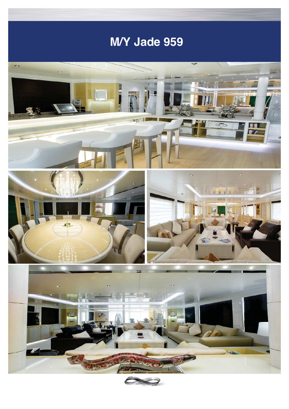# **M/Y Jade 959**



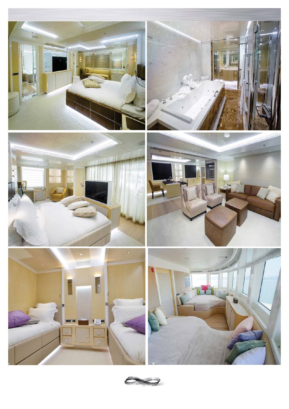